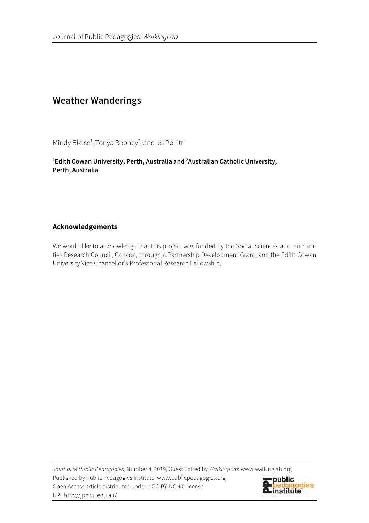# **Weather Wanderings**

Mindy Blaise<sup>1</sup>, Tonya Rooney<sup>2</sup>, and Jo Pollitt<sup>1</sup>

**1 Edith Cowan University, Perth, Australia and 2 Australian Catholic University, Perth, Australia**

## **Acknowledgements**

We would like to acknowledge that this project was funded by the Social Sciences and Humanities Research Council, Canada, through a Partnership Development Grant, and the Edith Cowan University Vice Chancellor's Professorial Research Fellowship.

*Journal of Public Pedagogies*, Number 4, 2019, Guest Edited by *WalkingLab*: www.walkinglab.org Published by Public Pedagogies Institute: www.publicpedagogies.org Open Access article distributed under a CC-BY-NC 4.0 license URL http://jpp.vu.edu.au/

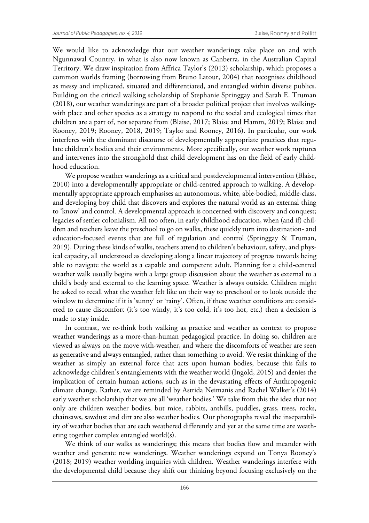We would like to acknowledge that our weather wanderings take place on and with Ngunnawal Country, in what is also now known as Canberra, in the Australian Capital Territory. We draw inspiration from Affrica Taylor's (2013) scholarship, which proposes a common worlds framing (borrowing from Bruno Latour, 2004) that recognises childhood as messy and implicated, situated and differentiated, and entangled within diverse publics. Building on the critical walking scholarship of Stephanie Springgay and Sarah E. Truman (2018), our weather wanderings are part of a broader political project that involves walkingwith place and other species as a strategy to respond to the social and ecological times that children are a part of, not separate from (Blaise, 2017; Blaise and Hamm, 2019; Blaise and Rooney, 2019; Rooney, 2018, 2019; Taylor and Rooney, 2016). In particular, our work interferes with the dominant discourse of developmentally appropriate practices that regulate children's bodies and their environments. More specifically, our weather work ruptures and intervenes into the stronghold that child development has on the field of early childhood education.

We propose weather wanderings as a critical and postdevelopmental intervention (Blaise, 2010) into a developmentally appropriate or child-centred approach to walking. A developmentally appropriate approach emphasises an autonomous, white, able-bodied, middle-class, and developing boy child that discovers and explores the natural world as an external thing to 'know' and control. A developmental approach is concerned with discovery and conquest; legacies of settler colonialism. All too often, in early childhood education, when (and if) children and teachers leave the preschool to go on walks, these quickly turn into destination- and education-focused events that are full of regulation and control (Springgay & Truman, 2019). During these kinds of walks, teachers attend to children's behaviour, safety, and physical capacity, all understood as developing along a linear trajectory of progress towards being able to navigate the world as a capable and competent adult. Planning for a child-centred weather walk usually begins with a large group discussion about the weather as external to a child's body and external to the learning space. Weather is always outside. Children might be asked to recall what the weather felt like on their way to preschool or to look outside the window to determine if it is 'sunny' or 'rainy'. Often, if these weather conditions are considered to cause discomfort (it's too windy, it's too cold, it's too hot, etc.) then a decision is made to stay inside.

In contrast, we re-think both walking as practice and weather as context to propose weather wanderings as a more-than-human pedagogical practice. In doing so, children are viewed as always on the move with-weather, and where the discomforts of weather are seen as generative and always entangled, rather than something to avoid. We resist thinking of the weather as simply an external force that acts upon human bodies, because this fails to acknowledge children's entanglements with the weather world (Ingold, 2015) and denies the implication of certain human actions, such as in the devastating effects of Anthropogenic climate change. Rather, we are reminded by Astrida Neimanis and Rachel Walker's (2014) early weather scholarship that we are all 'weather bodies.' We take from this the idea that not only are children weather bodies, but mice, rabbits, anthills, puddles, grass, trees, rocks, chainsaws, sawdust and dirt are also weather bodies. Our photographs reveal the inseparability of weather bodies that are each weathered differently and yet at the same time are weathering together complex entangled world(s).

We think of our walks as wanderings; this means that bodies flow and meander with weather and generate new wanderings. Weather wanderings expand on Tonya Rooney's (2018; 2019) weather worlding inquiries with children. Weather wanderings interfere with the developmental child because they shift our thinking beyond focusing exclusively on the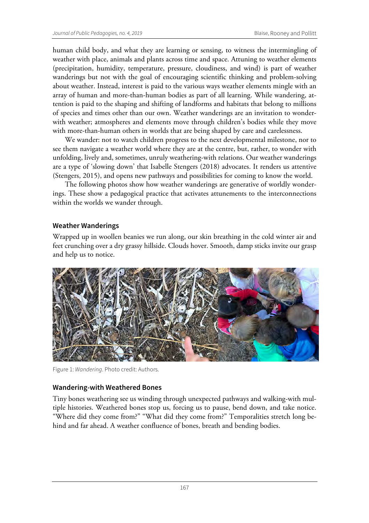human child body, and what they are learning or sensing, to witness the intermingling of weather with place, animals and plants across time and space. Attuning to weather elements (precipitation, humidity, temperature, pressure, cloudiness, and wind) is part of weather wanderings but not with the goal of encouraging scientific thinking and problem-solving about weather. Instead, interest is paid to the various ways weather elements mingle with an array of human and more-than-human bodies as part of all learning. While wandering, attention is paid to the shaping and shifting of landforms and habitats that belong to millions of species and times other than our own. Weather wanderings are an invitation to wonderwith weather; atmospheres and elements move through children's bodies while they move with more-than-human others in worlds that are being shaped by care and carelessness.

We wander: not to watch children progress to the next developmental milestone, nor to see them navigate a weather world where they are at the centre, but, rather, to wonder with unfolding, lively and, sometimes, unruly weathering-with relations. Our weather wanderings are a type of 'slowing down' that Isabelle Stengers (2018) advocates. It renders us attentive (Stengers, 2015), and opens new pathways and possibilities for coming to know the world.

The following photos show how weather wanderings are generative of worldly wonderings. These show a pedagogical practice that activates attunements to the interconnections within the worlds we wander through.

## **Weather Wanderings**

Wrapped up in woollen beanies we run along, our skin breathing in the cold winter air and feet crunching over a dry grassy hillside. Clouds hover. Smooth, damp sticks invite our grasp and help us to notice.



Figure 1: *Wandering*. Photo credit: Authors.

#### **Wandering-with Weathered Bones**

Tiny bones weathering see us winding through unexpected pathways and walking-with multiple histories. Weathered bones stop us, forcing us to pause, bend down, and take notice. "Where did they come from?" "What did they come from?" Temporalities stretch long behind and far ahead. A weather confluence of bones, breath and bending bodies.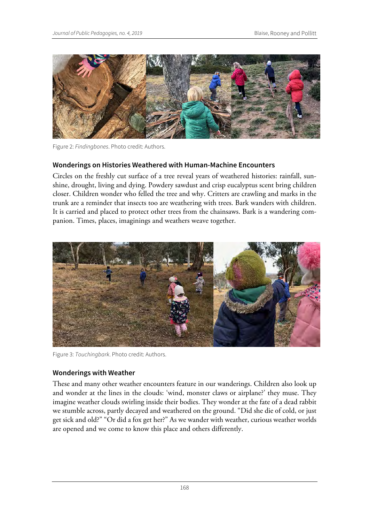

Figure 2: *Findingbones*. Photo credit: Authors.

# **Wonderings on Histories Weathered with Human-Machine Encounters**

Circles on the freshly cut surface of a tree reveal years of weathered histories: rainfall, sunshine, drought, living and dying. Powdery sawdust and crisp eucalyptus scent bring children closer. Children wonder who felled the tree and why. Critters are crawling and marks in the trunk are a reminder that insects too are weathering with trees. Bark wanders with children. It is carried and placed to protect other trees from the chainsaws. Bark is a wandering companion. Times, places, imaginings and weathers weave together.



Figure 3: *Touchingbark*. Photo credit: Authors.

## **Wonderings with Weather**

These and many other weather encounters feature in our wanderings. Children also look up and wonder at the lines in the clouds: 'wind, monster claws or airplane?' they muse. They imagine weather clouds swirling inside their bodies. They wonder at the fate of a dead rabbit we stumble across, partly decayed and weathered on the ground. "Did she die of cold, or just get sick and old?" "Or did a fox get her?" As we wander with weather, curious weather worlds are opened and we come to know this place and others differently.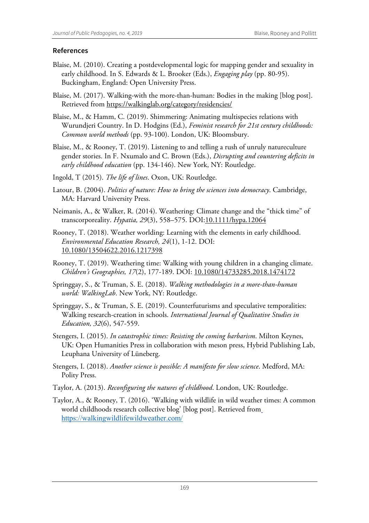# **References**

- Blaise, M. (2010). Creating a postdevelopmental logic for mapping gender and sexuality in early childhood. In S. Edwards & L. Brooker (Eds.), *Engaging play* (pp. 80-95). Buckingham, England: Open University Press.
- Blaise, M. (2017). Walking-with the more-than-human: Bodies in the making [blog post]. Retrieved from https://walkinglab.org/category/residencies/

Blaise, M., & Hamm, C. (2019). Shimmering: Animating multispecies relations with Wurundjeri Country. In D. Hodgins (Ed.), *Feminist research for 21st century childhoods: Common world methods* (pp. 93-100). London, UK: Bloomsbury.

- Blaise, M., & Rooney, T. (2019). Listening to and telling a rush of unruly natureculture gender stories. In F. Nxumalo and C. Brown (Eds.), *Disrupting and countering deficits in early childhood education* (pp. 134-146). New York, NY: Routledge.
- Ingold, T (2015). *The life of lines*. Oxon, UK: Routledge.
- Latour, B. (2004). *Politics of nature: How to bring the sciences into democracy*. Cambridge, MA: Harvard University Press.
- Neimanis, A., & Walker, R. (2014). Weathering: Climate change and the "thick time" of transcorporeality. *Hypatia, 29*(3), 558–575. DOI:10.1111/hypa.12064
- Rooney, T. (2018). Weather worlding: Learning with the elements in early childhood. *Environmental Education Research, 24*(1), 1-12. DOI: 10.1080/13504622.2016.1217398
- Rooney, T. (2019). Weathering time: Walking with young children in a changing climate. *Children's Geographies, 17*(2), 177-189. DOI: 10.1080/14733285.2018.1474172
- Springgay, S., & Truman, S. E. (2018). *Walking methodologies in a more-than-human world: WalkingLab*. New York, NY: Routledge.
- Springgay, S., & Truman, S. E. (2019). Counterfuturisms and speculative temporalities: Walking research-creation in schools. *International Journal of Qualitative Studies in Education, 32*(6), 547-559.
- Stengers, I. (2015). *In catastrophic times: Resisting the coming barbarism*. Milton Keynes, UK: Open Humanities Press in collaboration with meson press, Hybrid Publishing Lab, Leuphana University of Lüneberg.
- Stengers, I. (2018). *Another science is possible: A manifesto for slow science*. Medford, MA: Polity Press.
- Taylor, A. (2013). *Reconfiguring the natures of childhood*. London, UK: Routledge.
- Taylor, A., & Rooney, T. (2016). 'Walking with wildlife in wild weather times: A common world childhoods research collective blog' [blog post]. Retrieved from https://walkingwildlifewildweather.com/